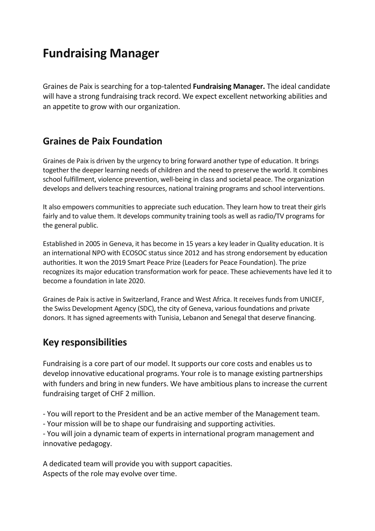# **Fundraising Manager**

Graines de Paix is searching for a top-talented **Fundraising Manager.** The ideal candidate will have a strong fundraising track record. We expect excellent networking abilities and an appetite to grow with our organization.

### **Graines de Paix Foundation**

Graines de Paix is driven by the urgency to bring forward another type of education. It brings together the deeper learning needs of children and the need to preserve the world. It combines school fulfillment, violence prevention, well-being in class and societal peace. The organization develops and delivers teaching resources, national training programs and school interventions.

It also empowers communities to appreciate such education. They learn how to treat their girls fairly and to value them. It develops community training tools as well as radio/TV programs for the general public.

Established in 2005 in Geneva, it has become in 15 years a key leader in Quality education. It is an international NPO with ECOSOC status since 2012 and has strong endorsement by education authorities. It won the 2019 Smart Peace Prize (Leaders for Peace Foundation). The prize recognizes its major education transformation work for peace. These achievements have led it to become a foundation in late 2020.

Graines de Paix is active in Switzerland, France and West Africa. It receivesfundsfrom UNICEF, the Swiss Development Agency (SDC), the city of Geneva, various foundations and private donors. It has signed agreements with Tunisia, Lebanon and Senegal that deserve financing.

### **Key responsibilities**

Fundraising is a core part of our model. It supports our core costs and enables us to develop innovative educational programs. Your role is to manage existing partnerships with funders and bring in new funders. We have ambitious plans to increase the current fundraising target of CHF 2 million.

- You will report to the President and be an active member of the Management team.

- Your mission will be to shape our fundraising and supporting activities.

- You will join a dynamic team of experts in international program management and innovative pedagogy.

A dedicated team will provide you with support capacities. Aspects of the role may evolve over time.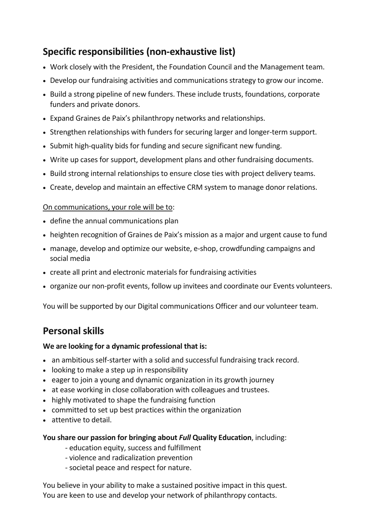# **Specific responsibilities (non-exhaustive list)**

- Work closely with the President, the Foundation Council and the Management team.
- Develop our fundraising activities and communications strategy to grow our income.
- Build a strong pipeline of new funders. These include trusts, foundations, corporate funders and private donors.
- Expand Graines de Paix's philanthropy networks and relationships.
- Strengthen relationships with funders for securing larger and longer-term support.
- Submit high-quality bids for funding and secure significant new funding.
- Write up cases for support, development plans and other fundraising documents.
- Build strong internal relationships to ensure close ties with project delivery teams.
- Create, develop and maintain an effective CRM system to manage donor relations.

#### On communications, your role will be to:

- define the annual communications plan
- heighten recognition of Graines de Paix's mission as a major and urgent cause to fund
- manage, develop and optimize our website, e-shop, crowdfunding campaigns and social media
- create all print and electronic materials for fundraising activities
- organize our non-profit events, follow up invitees and coordinate our Events volunteers.

You will be supported by our Digital communications Officer and our volunteer team.

# **Personal skills**

#### **We are looking for a dynamic professional that is:**

- an ambitious self-starter with a solid and successful fundraising track record.
- looking to make a step up in responsibility
- eager to join a young and dynamic organization in its growth journey
- at ease working in close collaboration with colleagues and trustees.
- highly motivated to shape the fundraising function
- committed to set up best practices within the organization
- attentive to detail.

#### **You share our passion for bringing about** *Full* **Quality Education**, including:

- education equity, success and fulfillment
- violence and radicalization prevention
- societal peace and respect for nature.

You believe in your ability to make a sustained positive impact in this quest. You are keen to use and develop your network of philanthropy contacts.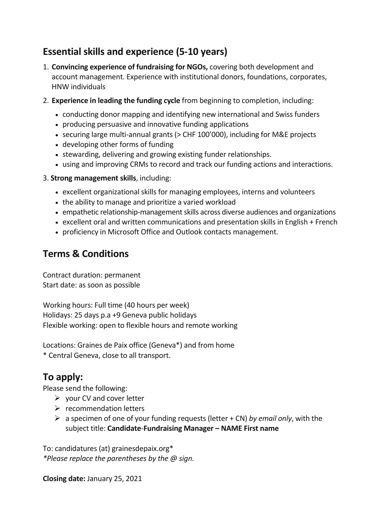# **Essential skills and experience (5-10 years)**

- 1. **Convincing experience of fundraising for NGOs,** covering both development and account management. Experience with institutional donors, foundations, corporates, HNW individuals
- 2. **Experience in leading the funding cycle** from beginning to completion, including:
	- conducting donor mapping and identifying new international and Swiss funders
	- producing persuasive and innovative funding applications
	- securing large multi-annual grants (> CHF 100'000), including for M&E projects
	- developing other forms of funding
	- stewarding, delivering and growing existing funder relationships.
	- using and improving CRMs to record and track our funding actions and interactions.

3. **Strong management skills**, including:

- excellent organizational skills for managing employees, interns and volunteers
- the ability to manage and prioritize a varied workload
- empathetic relationship-management skills across diverse audiences and organizations
- excellent oral and written communications and presentation skills in English + French
- proficiency in Microsoft Office and Outlook contacts management.

### **Terms & Conditions**

Contract duration: permanent Start date: as soon as possible

Working hours: Full time (40 hours per week) Holidays: 25 days p.a +9 Geneva public holidays Flexible working: open to flexible hours and remote working

Locations: Graines de Paix office (Geneva\*) and from home \* Central Geneva, close to all transport.

### **To apply:**

Please send the following:

- $\triangleright$  your CV and cover letter
- ➢ recommendation letters
- ➢ a specimen of one of your funding requests (letter + CN) *by email only*, with the subject title: **Candidate**-**Fundraising Manager – NAME First name**

To: candidatures (at) grainesdepaix.org\* *\*Please replace the parentheses by the @ sign.*

**Closing date:** January 25, 2021